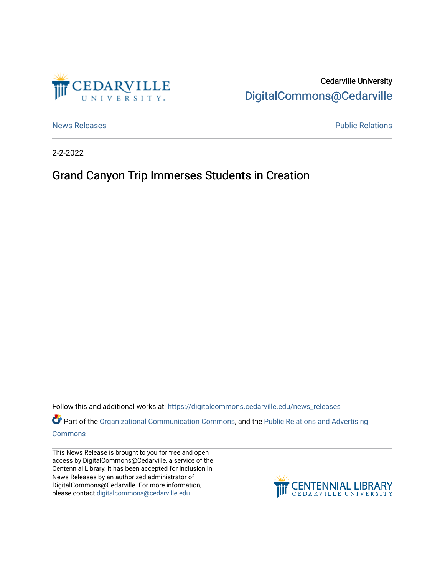

Cedarville University [DigitalCommons@Cedarville](https://digitalcommons.cedarville.edu/) 

[News Releases](https://digitalcommons.cedarville.edu/news_releases) **Public Relations Public Relations** 

2-2-2022

## Grand Canyon Trip Immerses Students in Creation

Follow this and additional works at: [https://digitalcommons.cedarville.edu/news\\_releases](https://digitalcommons.cedarville.edu/news_releases?utm_source=digitalcommons.cedarville.edu%2Fnews_releases%2F1490&utm_medium=PDF&utm_campaign=PDFCoverPages) 

Part of the [Organizational Communication Commons](http://network.bepress.com/hgg/discipline/335?utm_source=digitalcommons.cedarville.edu%2Fnews_releases%2F1490&utm_medium=PDF&utm_campaign=PDFCoverPages), and the Public Relations and Advertising [Commons](http://network.bepress.com/hgg/discipline/336?utm_source=digitalcommons.cedarville.edu%2Fnews_releases%2F1490&utm_medium=PDF&utm_campaign=PDFCoverPages)

This News Release is brought to you for free and open access by DigitalCommons@Cedarville, a service of the Centennial Library. It has been accepted for inclusion in News Releases by an authorized administrator of DigitalCommons@Cedarville. For more information, please contact [digitalcommons@cedarville.edu](mailto:digitalcommons@cedarville.edu).

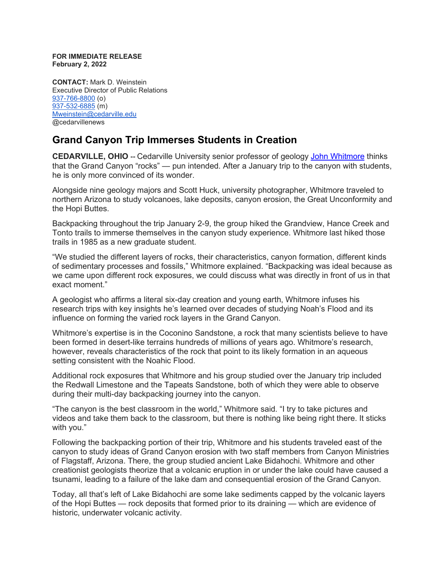## **FOR IMMEDIATE RELEASE February 2, 2022**

**CONTACT:** Mark D. Weinstein Executive Director of Public Relations [937-766-8800](tel:937-766-8800) (o) [937-532-6885](tel:937-532-6885) (m) [Mweinstein@cedarville.edu](mailto:Mweinstein@cedarville.edu) @cedarvillenews

## **Grand Canyon Trip Immerses Students in Creation**

**CEDARVILLE, OHIO --** Cedarville University senior professor of geology [John Whitmore](https://www.cedarville.edu/academic-schools-and-departments/science-and-mathematics/faculty-staff/whitmore-john) thinks that the Grand Canyon "rocks" — pun intended. After a January trip to the canyon with students, he is only more convinced of its wonder.

Alongside nine geology majors and Scott Huck, university photographer, Whitmore traveled to northern Arizona to study volcanoes, lake deposits, canyon erosion, the Great Unconformity and the Hopi Buttes.

Backpacking throughout the trip January 2-9, the group hiked the Grandview, Hance Creek and Tonto trails to immerse themselves in the canyon study experience. Whitmore last hiked those trails in 1985 as a new graduate student.

"We studied the different layers of rocks, their characteristics, canyon formation, different kinds of sedimentary processes and fossils," Whitmore explained. "Backpacking was ideal because as we came upon different rock exposures, we could discuss what was directly in front of us in that exact moment."

A geologist who affirms a literal six-day creation and young earth, Whitmore infuses his research trips with key insights he's learned over decades of studying Noah's Flood and its influence on forming the varied rock layers in the Grand Canyon.

Whitmore's expertise is in the Coconino Sandstone, a rock that many scientists believe to have been formed in desert-like terrains hundreds of millions of years ago. Whitmore's research, however, reveals characteristics of the rock that point to its likely formation in an aqueous setting consistent with the Noahic Flood.

Additional rock exposures that Whitmore and his group studied over the January trip included the Redwall Limestone and the Tapeats Sandstone, both of which they were able to observe during their multi-day backpacking journey into the canyon.

"The canyon is the best classroom in the world," Whitmore said. "I try to take pictures and videos and take them back to the classroom, but there is nothing like being right there. It sticks with you."

Following the backpacking portion of their trip, Whitmore and his students traveled east of the canyon to study ideas of Grand Canyon erosion with two staff members from Canyon Ministries of Flagstaff, Arizona. There, the group studied ancient Lake Bidahochi. Whitmore and other creationist geologists theorize that a volcanic eruption in or under the lake could have caused a tsunami, leading to a failure of the lake dam and consequential erosion of the Grand Canyon.

Today, all that's left of Lake Bidahochi are some lake sediments capped by the volcanic layers of the Hopi Buttes — rock deposits that formed prior to its draining — which are evidence of historic, underwater volcanic activity.